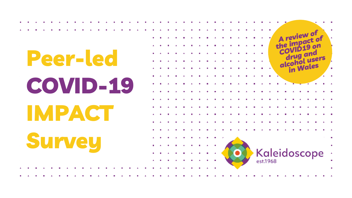Peer-led COVD-19 I M PACT Survey

| ▲                        |                          | H.                                    | ▲                                  | $\bullet$                          | $\Box$                                                      | ▲                        |                                  | T,                       |
|--------------------------|--------------------------|---------------------------------------|------------------------------------|------------------------------------|-------------------------------------------------------------|--------------------------|----------------------------------|--------------------------|
| $\Box$                   | $\blacktriangle$         | $\bullet$                             | $\Box$                             | $\blacktriangle$                   | $\bullet$                                                   | $\Box$                   | $\blacktriangle$                 | $\bullet$                |
| $\bullet$                | $\overline{\phantom{a}}$ | $\blacktriangle$                      | $\bullet$                          | $\overline{\phantom{a}}$           | $\blacktriangle$                                            | $\bullet$                | $\overline{\phantom{a}}$         | ▲                        |
| ▲                        | $\bullet$                | П                                     | $\blacktriangle$                   | $\bullet$                          | $\blacksquare$                                              | $\blacktriangle$         | $\bullet$                        | П                        |
| $\Box$                   | $\blacktriangle$         | $\bullet$                             | $\Box$                             | $\blacktriangle$                   | $\bullet$                                                   | $\overline{\phantom{a}}$ | $\blacktriangle$                 | $\bullet$                |
| $\bullet$                | $\overline{\phantom{a}}$ | $\blacktriangle$                      | $\bullet$                          | $\overline{\phantom{a}}$           | $\blacktriangle$                                            | $\bullet$                | $\Box$                           | $\blacktriangle$         |
| Δ                        | $\bullet$                | $\Box$                                | $\blacktriangle$                   | $\bullet$                          | $\blacksquare$                                              | $\blacktriangle$         | $\bullet$                        | $\Box$                   |
| E                        | $\blacktriangle$         | $\bullet$                             | $\overline{\phantom{a}}$           | $\blacktriangle$                   | $\bullet$                                                   | $\Box$                   | ▲                                | $\bullet$                |
| $\bullet$                | $\overline{\phantom{a}}$ | $\blacktriangle$                      | $\bullet$                          | $\Box$                             | $\blacktriangle$                                            | $\bullet$                | F.                               | Δ                        |
| Â                        | $\bullet$                | $\overline{\phantom{a}}$              | $\blacktriangle$                   | $\bullet$                          | $\Box$                                                      | $\blacktriangle$         | $\bullet$                        | $\Box$                   |
| $\Box$                   | $\blacktriangle$         | $\bullet$                             | $\Box$                             | $\blacktriangle$                   | $\bullet$                                                   | $\Box$                   | ▲                                | $\bullet$                |
| $\bullet$                | $\overline{\mathbb{R}}$  | ▲                                     | $\bullet$                          | $\Box$                             | $\blacktriangle$                                            | $\bullet$                | $\Box$                           | $\blacktriangle$         |
| ▲                        | $\bullet$                | $\mathcal{C}$                         | $\blacktriangle$                   | $\bullet$                          | $\Box$                                                      | $\blacktriangle$         | $\bullet$                        | $\overline{\phantom{a}}$ |
| D                        | Δ                        | $\bullet$                             | $\Box$                             | $\blacktriangle$                   | $\bullet$                                                   | $\Box$                   |                                  | 0                        |
|                          |                          | $\blacktriangle$                      |                                    | $\overline{\mathbb{R}}$            | $\blacktriangle$                                            |                          |                                  |                          |
| $\blacktriangle$         | $\bullet$                |                                       |                                    |                                    |                                                             | $\blacksquare$           | $\bullet$ . The set of $\bullet$ | $\Box$                   |
| $\overline{\phantom{a}}$ | $\blacktriangle$         | $\bullet$                             | $\mathcal{L}_{\mathcal{A}}$        | $\mathbb{R}^n \times \mathbb{R}^n$ | $\mathcal{L}^{\text{max}}$ . The $\mathcal{L}^{\text{max}}$ | $\mathbb{R}^n$           | $\blacktriangle$                 | $\bullet$                |
| $\bullet$                | $\overline{\phantom{a}}$ | $\blacktriangle$                      | $\bullet$                          | $\overline{\phantom{a}}$           | $\blacktriangle$ , $\blacktriangle$                         | $\bullet$                | $\Box$                           | $\blacktriangle$         |
| $\blacktriangle$         | $\bullet$                | $\overline{\phantom{a}}$              | $\mathbb{R}^n \times \mathbb{R}^n$ | $\bullet$                          | $\Box$                                                      | $\blacktriangle$         | $\bullet$                        | $\overline{\phantom{a}}$ |
| $\overline{\phantom{a}}$ | $\blacktriangle$         | $\bullet$                             | $\mathbb{R}^n$                     | $\blacktriangle$                   | $\bullet$                                                   | $\Box$                   | $\blacktriangle$                 | $\bullet$                |
|                          | $\overline{\phantom{a}}$ | $\blacktriangle$ and $\blacktriangle$ | $\bullet$ . The set of $\bullet$   | $\mathbb{R}^n$                     | $\blacktriangle$ and $\blacktriangle$                       | $\bullet$                | $\Box$                           | Â                        |

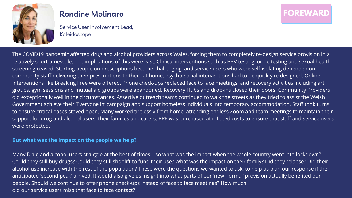

### **Rondine Molinaro FOREW**

The COVID19 pandemic affected drug and alcohol providers across Wales, forcing them to completely re-design service provision in a relatively short timescale. The implications of this were vast. Clinical interventions such as BBV testing, urine testing and sexual health screening ceased. Starting people on prescriptions became challenging, and service users who were self-isolating depended on community staff delivering their prescriptions to them at home. Psycho-social interventions had to be quickly re designed. Online interventions like Breaking Free were offered. Phone check-ups replaced face to face meetings, and recovery activities including art groups, gym sessions and mutual aid groups were abandoned. Recovery Hubs and drop-ins closed their doors. Community Providers did exceptionally well in the circumstances. Assertive outreach teams continued to walk the streets as they tried to assist the Welsh Government achieve their 'Everyone in' campaign and support homeless individuals into temporary accommodation. Staff took turns to ensure critical bases stayed open. Many worked tirelessly from home, attending endless Zoom and team meetings to maintain their support for drug and alcohol users, their families and carers. PPE was purchased at inflated costs to ensure that staff and service users were protected.

#### **But what was the impact on the people we help?**

Many Drug and alcohol users struggle at the best of times – so what was the impact when the whole country went into lockdown? Could they still buy drugs? Could they still shoplift to fund their use? What was the impact on their family? Did they relapse? Did their alcohol use increase with the rest of the population? These were the questions we wanted to ask, to help us plan our response if the anticipated 'second peak' arrived. It would also give us insight into what parts of our 'new normal' provision actually benefited our people. Should we continue to offer phone check-ups instead of face to face meetings? How much did our service users miss that face to face contact?

Service User Involvement Lead, Kaleidoscope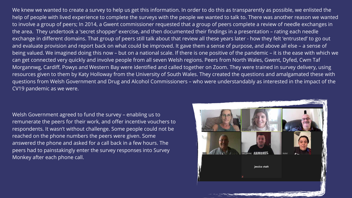We knew we wanted to create a survey to help us get this information. In order to do this as transparently as possible, we enlisted the help of people with lived experience to complete the surveys with the people we wanted to talk to. There was another reason we wanted to involve a group of peers; In 2014, a Gwent commissioner requested that a group of peers complete a review of needle exchanges in the area. They undertook a 'secret shopper' exercise, and then documented their findings in a presentation – rating each needle exchange in different domains. That group of peers still talk about that review all these years later - how they felt 'entrusted' to go out and evaluate provision and report back on what could be improved. It gave them a sense of purpose, and above all else – a sense of being valued. We imagined doing this now – but on a national scale. If there is one positive of the pandemic – it is the ease with which we can get connected very quickly and involve people from all seven Welsh regions. Peers from North Wales, Gwent, Dyfed, Cwm Taf Morgannwg, Cardiff, Powys and Western Bay were identified and called together on Zoom. They were trained in survey delivery, using resources given to them by Katy Holloway from the University of South Wales. They created the questions and amalgamated these with questions from Welsh Government and Drug and Alcohol Commissioners – who were understandably as interested in the impact of the CV19 pandemic as we were.

Welsh Government agreed to fund the survey – enabling us to remunerate the peers for their work, and offer incentive vouchers to respondents. It wasn't without challenge. Some people could not be reached on the phone numbers the peers were given. Some answered the phone and asked for a call back in a few hours. The peers had to painstakingly enter the survey responses into Survey Monkey after each phone call.

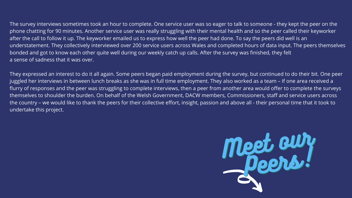The survey interviews sometimes took an hour to complete. One service user was so eager to talk to someone - they kept the peer on the phone chatting for 90 minutes. Another service user was really struggling with their mental health and so the peer called their keyworker after the call to follow it up. The keyworker emailed us to express how well the peer had done. To say the peers did well is an understatement. They collectively interviewed over 200 service users across Wales and completed hours of data input. The peers themselves bonded and got to know each other quite well during our weekly catch up calls. After the survey was finished, they felt a sense of sadness that it was over.

They expressed an interest to do it all again. Some peers began paid employment during the survey, but continued to do their bit. One peer juggled her interviews in between lunch breaks as she was in full time employment. They also worked as a team – If one area received a flurry of responses and the peer was struggling to complete interviews, then a peer from another area would offer to complete the surveys themselves to shoulder the burden. On behalf of the Welsh Government, DACW members, Commissioners, staff and service users across the country – we would like to thank the peers for their collective effort, insight, passion and above all - their personal time that it took to undertake this project.

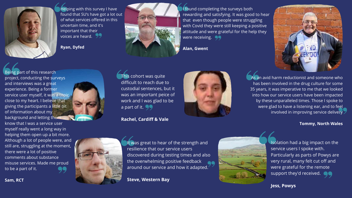

Helping with this survey I have found that SU's have got a lot out of what services offered in this uncertain time, and it's important that their voices are heard. 99

I found completing the surveys both rewarding and satisfying. It was good to hear that even though people were struggling with Covid they were still keeping a positive attitude and were grateful for the help they were receiving. 99

**Ryan, Dyfed**



**Alan, Gwent**

As an avid harm reductionist and someone who has been involved in the drug culture for some 35 years, it was imperative to me that we looked into how our service users have been impacted by these unparalleled times. Those I spoke to were glad to have a listening ear, and to feel involved in improving service delivery

This cohort was quite difficult to reach due to custodial sentences, but it was an important peice of work and I was glad to be a part of it. 99



Being part of this research project, conducting the surveys and interviews was a great experience. Being a former service user myself, it was a topic close to my heart. I believe that giving the participants a little bit of information about my background and letting them know that I was a service user myself really went a long way in helping them open up a bit more. Although a lot of people were, and still are, struggling at the moment, there were a lot of positive comments about substance misuse services. Made me proud to be a part of it.

Isolation had a big impact on the service users I spoke with. Particularly as parts of Powys are very rural, many felt cut off and were grateful for the remote support they'd received.  $\bigcirc$ 

**Sam, RCT**



#### **Tommy, North Wales**



**Rachel, Cardiff & Vale**



It was great to hear of the strength and resilience that our service users discovered during testing times and also the overwhelming positive feedback around our service and how it adapted.

**Steve, Western Bay**



**Jess, Powys**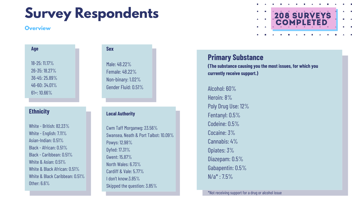#### **Local Authority**

Cwm Taff Morganwg: 23.56% Swansea, Neath & Port Talbot: 10.09% Powys: 12.98% Dyfed: 17.31% Gwent: 15.87% North Wales: 6.73% Cardiff & Vale: 5.77% I don't know:3.85% Skipped the question: 3.85%

## **Survey Respondents**

#### **Overview**

#### **Age**

18-25: 11.17% 26-35: 18.27% 36-45: 25.89% 46-60: 34.01% 61+: 10.66%

#### **Sex**

Male: 48.22% Female: 48.22% Non-binary: 1.02% Gender Fluid: 0.51%



### **Primary Substance**

**(The substance causing you the most issues, for which you currently receive support.)**

Alcohol: 60% Poly Drug Use: 12% Fentanyl: 0.5% Codeine: 0.5% Cocaine: 3% Cannabis: 4% Opiates: 3% Diazepam: 0.5% Gabapentin: 0.5%

Heroin: 8% N/a\* : 7.5%

\*Not receiving support for a drug or alcohol issue

#### **Ethnicity**

White - British: 82.23% White - English: 7.11% Asian-Indian: 0.51% Black - African: 0.51% Black - Caribbean: 0.51% White & Asian: 0.51% White & Black African: 0.51% White & Black Caribbean: 0.51% Other: 6.6%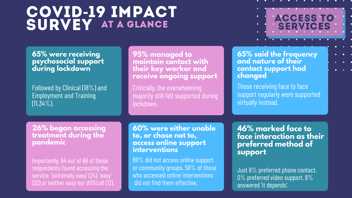### COVID**-**19 IMPACT SURVEY AT A GLANCE

**65% were receiving psychosocial support during lockdown**

Followed by Clinical (18%) and Employment and Training (11.34%).

**26% began accessing treatment during the pandemic**

Importantly, 64 out of 66 of those respondents found accessing the service 'extremely easy' (24), 'easy' (22) or neither easy nor difficult (12). **95% managed to maintain contact with their key worker and receive ongoing support**

Critically, the overwhelming majority still felt supported during lockdown.

**65% said the frequency and nature of their contact support had changed**

Those receiving face to face support regularly were supported virtually instead.

**46% marked face to face interaction as their preferred method of support**

Just 8% preferred phone contact. 0% preferred video support. 8% answered 'it depends'.

**60% were either unable to, or chose not to, access online support interventions**

69% did not access online support or community groups. 58% of those who accessed online interventions did not find them effective.

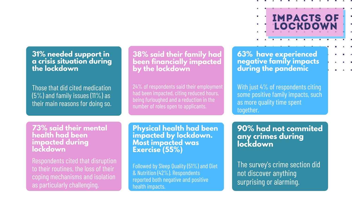#### **31% needed support in a crisis situation during the lockdown**

Those that did cited medication (5%) and family issues (11%) as their main reasons for doing so.

#### **73% said their mental health had been impacted during lockdown**

Respondents cited that disruption to their routines, the loss of their coping mechanisms and isolation as particularly challenging.

With just 4% of respondents citing some positive family impacts, such as more quality time spent together.

### **38% said their family had been financially impacted by the lockdown**

24% of respondents said their employment had been impacted, citing reduced hours, being furloughed and a reduction in the number of roles open to applicants.

**63% have experienced negative family impacts during the pandemic**

**90% had not commited any crimes during lockdown**

The survey's crime section did not discover anything surprising or alarming.

**Physical health had been impacted by lockdown. Most impacted was Exercise (55%)**

Followed by Sleep Quality (51%) and Diet & Nutrition (42%). Respondents reported both negative and positive health impacts.

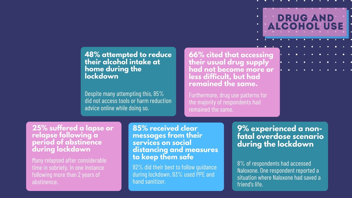#### **25% suffered a lapse or relapse following a period of abstinence during lockdown**

Many relapsed after considerable time in sobriety. In one instance following more than 2 years of abstinence.

**66% cited that accessing their usual drug supply had not become more or less difficult, but had remained the same.**

Furthermore, drug use patterns for the majority of respondents had remained the same.

#### **48% attempted to reduce their alcohol intake at home during the lockdown**

Despite many attempting this, 85% did not access tools or harm reduction advice online while doing so.

**9% experienced a nonfatal overdose scenario during the lockdown**

8% of respondents had accessed Naloxone. One respondent reported a situation where Naloxone had saved a friend's life.

**85% received clear messages from their services on social distancing and measures to keep them safe**

92% did their best to follow guidance during lockdown. 93% used PPE and hand sanitizer.

DRUG AND

**ALCOHOL USE**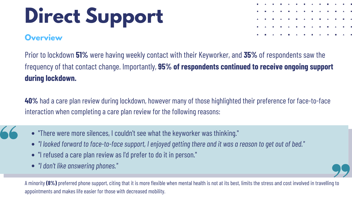- ''There were more silences, I couldn't see what the keyworker was thinking.''
- "I looked forward to face-to-face support, I enjoyed getting there and it was a reason to get out of bed."
- ''I refused a care plan review as I'd prefer to do it in person.''
- *''I don't like answering phones.''*

Prior to lockdown **51%** were having weekly contact with their Keyworker, and **35%** of respondents saw the frequency of that contact change. Importantly, **95% of respondents continued to receive ongoing support during lockdown.**

**40%** had a care plan review during lockdown, however many of those highlighted their preference for face-to-face interaction when completing a care plan review for the following reasons:

A minority **(8%)** preferred phone support, citing that it is more flexible when mental health is not at its best, limits the stress and cost involved in travelling to appointments and makes life easier for those with decreased mobility.



# **Direct Support**

### **Overview**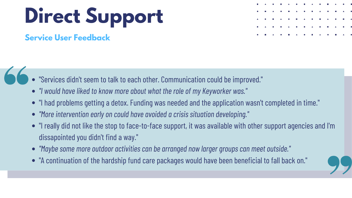- ''Services didn't seem to talk to each other. Communication could be improved.''
- "I would have liked to know more about what the role of my Keyworker was."
- ''I had problems getting a detox. Funding was needed and the application wasn't completed in time.''
- *''Moreintervention early on could have avoided a crisis situation developing.''*
- ''I really did not like the stop to face-to-face support, it was available with other support agencies and I'm dissapointed you didn't find a way.''
- *''Maybesome more outdoor activitiescan be arranged now larger groupscan meet outside.''*
- ''A continuation of the hardship fund care packages would have been beneficial to fall back on.''



# **Direct Support**

### **Service User Feedback**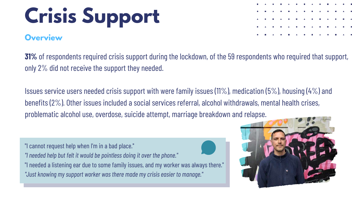**31%** of respondents required crisis support during the lockdown, of the 59 respondents who required that support, only 2% did not receive the support they needed.

Issues service users needed crisis support with were family issues (11%), medication (5%), housing (4%) and benefits (2%). Other issues included a social services referral, alcohol withdrawals, mental health crises, problematic alcohol use, overdose, suicide attempt, marriage breakdown and relapse.

''I cannot request help when I'm in a bad place.''

*''I needed help but felt it would be pointless doing it over the phone.''*

''I needed a listening ear due to some family issues, and my worker was always there.'' *''Justknowing my support worker was there made mycrisiseasier to manage.''*







### **Overview**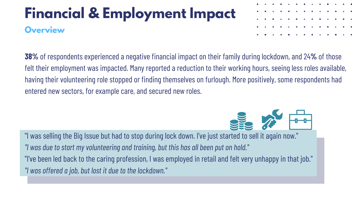**38%** of respondents experienced a negative financial impact on their family during lockdown, and 24**%** of those felt their employment was impacted. Many reported a reduction to their working hours, seeing less roles available, having their volunteering role stopped or finding themselves on furlough. More positively, some respondents had entered new sectors, for example care, and secured new roles.

''I was selling the Big Issue but had to stop during lock down. I've just started to sell it again now.'' *''I was dueto start my volunteering and training, but this has all been put on hold.''* ''I've been led back to the caring profession, I was employed in retail and felt very unhappy in that job.'' *''I was offered a job, but lost it dueto thelockdown.''*







## **Financial & Employment Impact Overview**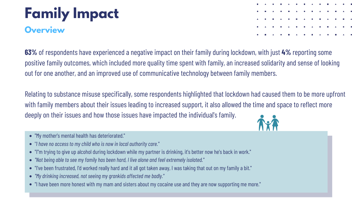- ''My mother's mental health has deteriorated.''
- '*'I have no access to mychild who is now in local authoritycare.''*
- ''I''m trying to give up alcohol during lockdown while my partner is drinking, it's better now he's back in work.''
- *''Not being ableto see my family has been hard, I live alone and feelextremely isolated.''*
- ''I've been frustrated, I'd worked really hard and it all got taken away, I was taking that out on my family a bit.''
- *''My drinking increased, not seeing my grankids affected me badly.''*  $\bullet$
- ''I have been more honest with my mam and sisters about my cocaine use and they are now supporting me more.''





**63%** of respondents have experienced a negative impact on their family during lockdown, with just **4%** reporting some positive family outcomes, which included more quality time spent with family, an increased solidarity and sense of looking out for one another, and an improved use of communicative technology between family members.

Relating to substance misuse specifically, some respondents highlighted that lockdown had caused them to be more upfront with family members about their issues leading to increased support, it also allowed the time and space to reflect more deeply on their issues and how those issues have impacted the individual's family.

## **Family Impact Overview**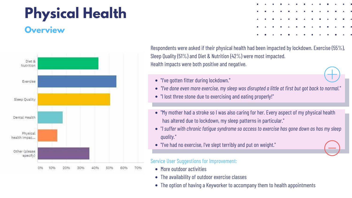- 
- 
- ''I've gotten fitter during lockdown.''  $\bullet$  "I've done even more exercise, my sleep was disrupted a little at first but got back to normal." ''I lost three stone due to exercising and eating properly!''
- ''My mother had a stroke so I was also caring for her. Every aspect of my physical health has altered due to lockdown, my sleep patterns in particular.''
- *quality.''*
- ''I've had no exercise, I've slept terribly and put on weight.''

'*'I suffer with chronicfatiguesyndromeso access to exercise has gone down as has my sleep*

- 
- Respondents were asked if their physical health had been impacted by lockdown. Exercise (55%),

Sleep Quality (51%) and Diet & Nutrition (42%) were most impacted. Health impacts were both positive and negative.

Service User Suggestions for Improvement:

- More outdoor activities
- The availability of outdoor exercise classes
- The option of having a Keyworker to accompany them to health appointments

## **Physical Health Overview**

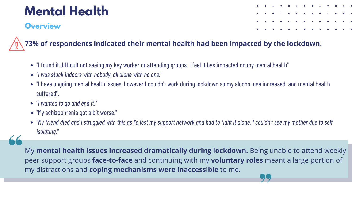- ''I found it difficult not seeing my key worker or attending groups. I feel it has impacted on my mental health''
- *''I was stuckindoors with nobody, all alone with no one.''*
- ''I have ongoing mental health issues, however I couldn't work during lockdown so my alcohol use increased and mental health suffered''.
- '*'I wanted to go and end it.''*
- ''My schizophrenia got a bit worse.''
- "My friend died and I struggled with this as I'd lost my support network and had to fight it alone. I couldn't see my mother due to self *isolating.''*



**73% of respondents indicated their mental health had been impacted by the lockdown.**

My **mental health issues increased dramatically during lockdown.** Being unable to attend weekly peer support groups **face-to-face** and continuing with my **voluntary roles** meant a large portion of my distractions and **coping mechanisms were inaccessible** to me.

|  |  |  |  | <b>A O B A O B A O B A O B A</b> |  |  |
|--|--|--|--|----------------------------------|--|--|
|  |  |  |  |                                  |  |  |
|  |  |  |  | <b>• • A • F A • F A • F A •</b> |  |  |

## **Mental Health**

**Overview**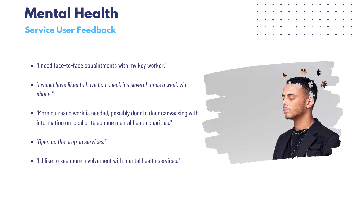- ''I need face-to-face appointments with my key worker.''
- *''I would haveliked to have had checkins several times a weekvia phone.''*
- ''More outreach work is needed, possibly door to door canvassing with information on local or telephone mental health charities.''
- *''Open up the drop-in services.''*
- ''I'd like to see more involvement with mental health services.''

| A O B A O B A O B A O B A<br><b>EACHAOEACHAO</b> |  | <b>EACEA CEACEA</b> |  |  |  |  |  |
|--------------------------------------------------|--|---------------------|--|--|--|--|--|
|                                                  |  |                     |  |  |  |  |  |
|                                                  |  |                     |  |  |  |  |  |
|                                                  |  |                     |  |  |  |  |  |
| <b>• II A • II A • II A • II A •</b>             |  |                     |  |  |  |  |  |



## **Mental Health**

### **Service User Feedback**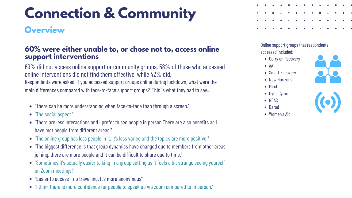## **Connection & Community Overview**

### **60% were either unable to, or chose not to, access online support interventions**

- Carry on Recovery
- $\bullet$  AA
- Smart Recovery
- New Horizons
- Mind
- Cyfle Cymru
- GDAS
- Barod
- Women's Aid





Online support groups that respondents accessed included:

69% did not access online support or community groups. 58% of those who accessed online interventions did not find them effective, while 42% did. Respondents were asked 'If you accessed support groups online during lockdown, what were the main differences compared with face-to-face support groups?' This is what they had to say...

- ''There can be more understanding when face-to-face than through a screen.''
- ''The social aspect.''
- ''There are less interactions and I prefer to see people in person.There are also benefits as I have met people from different areas.''
- ''The online group has less people in it, it's less varied and the topics are more positive.''
- ''The biggest difference is that group dynamics have changed due to members from other areas joining, there are more people and it can be difficult to share due to time.''
- ''Sometimes it's actually easier talking in a group setting as it feels a bit strange seeing yourself on Zoom meetings!''
- ''Easier to access no travelling. It's more anonymous''
- ''I think there is more confidence for people to speak up via zoom compared to in person.''

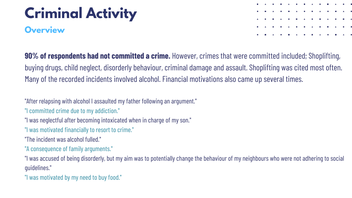## **Criminal Activity Overview**

**90% of respondents had not committed a crime.** However, crimes that were committed included; Shoplifting, buying drugs, child neglect, disorderly behaviour, criminal damage and assault. Shoplifting was cited most often. Many of the recorded incidents involved alcohol. Financial motivations also came up several times.

''After relapsing with alcohol I assaulted my father following an argument.''

- ''I committed crime due to my addiction.''
- ''I was neglectful after becoming intoxicated when in charge of my son.''

''I was motivated financially to resort to crime.''

''The incident was alcohol fulled.''

''A consequence of family arguments.''

''I was accused of being disorderly, but my aim was to potentially change the behaviour of my neighbours who were not adhering to social guidelines.''

''I was motivated by my need to buy food.''

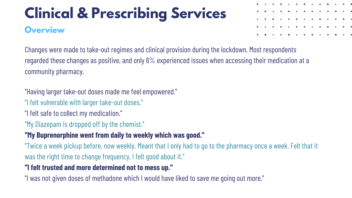## **Clinical & Prescribing Services Overview**

Changes were made to take-out regimes and clinical provision during the lockdown. Most respondents regarded these changes as positive, and only 6% experienced issues when accessing their medication at a community pharmacy.

''Twice a week pickup before, now weekly. Meant that I only had to go to the pharmacy once a week. Felt that it was the right time to change frequency, I felt good about it."

''Having larger take-out doses made me feel empowered.''

''I felt vulnerable with larger take-out doses.''

''I felt safe to collect my medication.''

''My Diazepam is dropped off by the chemist.''

### **''My Buprenorphine went from daily to weekly which was good. ''**

### **''I felt trusted and more determined not to mess up. ''**

''I was not given doses of methadone which I would have liked to save me going out more.''



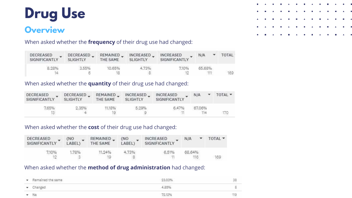## **Drug Use Overview**

#### When asked whether the **frequency** of their drug use had changed:

| DECREASED     | DECREASED _     | REMAINED _ | INCREASED_      | INCREASED     | N/A    |
|---------------|-----------------|------------|-----------------|---------------|--------|
| SIGNIFICANTLY | <b>SLIGHTLY</b> | THE SAME   | <b>SLIGHTLY</b> | SIGNIFICANTLY |        |
| 8. J. K. Yn   | 3.55%           | 10.65%     | 4.73%           | 7.10%         | 65.68% |

#### When asked whether the **quantity** of their drug use had changed:

| DECREASED<br>SIGNIFICANTLY | <b>DECREASED</b><br><b>SLIGHTLY</b> | REMAINED<br>THE SAME | INCREASED<br><b>SLIGHTLY</b> | INCREASED<br>SIGNIFICANTLY | N/A    | ТC |
|----------------------------|-------------------------------------|----------------------|------------------------------|----------------------------|--------|----|
|                            | 1 REMA                              | 4118%<br>19          |                              | 6.47%                      | 67.06% |    |

#### When asked whether the **cost** of their drug use had changed:

| DECREASED<br>SIGNIFICANTLY | (NO<br>LABEL) | REMAINED<br>THE SAME | <b>TNO</b><br>LABEL) | <b>INCREASED</b><br>SIGNIFICANTLY                 | N/A    | TOTAL |
|----------------------------|---------------|----------------------|----------------------|---------------------------------------------------|--------|-------|
|                            | 78%           | 11:94%               |                      | 6.51%<br><b>Carl Corporation</b><br><b>Common</b> | 68.64% | 169   |

#### When asked whether the **method of drug administration** had changed:

| w. | Remained the same<br>- 개 1919년 19일 개 강장장이 더 17년 17년 18일 대장이 | <u> 단 장군에서 대</u> |
|----|-------------------------------------------------------------|------------------|
|    |                                                             |                  |
|    | <b>TANK AND THE REAL</b>                                    |                  |

|           |  |  |  | <b>EACHAOEACHAO</b>                  |  |                 |
|-----------|--|--|--|--------------------------------------|--|-----------------|
|           |  |  |  | <b>• II A • II A • II A • II A •</b> |  |                 |
|           |  |  |  | A O B A O B A O B A O B A            |  |                 |
|           |  |  |  | <b>EACHAOEACHAO</b>                  |  | <b>Contract</b> |
| $\bullet$ |  |  |  | <b>EACHAOHAOHAO</b>                  |  |                 |

### TOTAL

169

#### TAL<sup>\*</sup>

-170

38  $\overline{\mathbb{R}}$ 119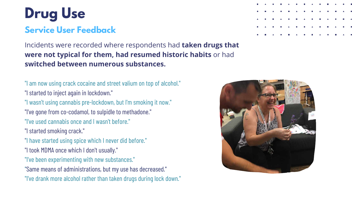Incidents were recorded where respondents had **taken drugs that were not typical for them, had resumed historic habits** or had **switched between numerous substances.**

''I am now using crack cocaine and street valium on top of alcohol.''

''I started to inject again in lockdown.''

''I wasn't using cannabis pre-lockdown, but I'm smoking it now.''

''I've gone from co-codamol, to sulpidle to methadone.''

''I've used cannabis once and I wasn't before.''

''I started smoking crack.''

''I have started using spice which I never did before.''

''I took MDMA once which I don't usually.''

''I've been experimenting with new substances.''

''Same means of administrations, but my use has decreased.''

''I've drank more alcohol rather than taken drugs during lock down.''

|  |  |  |  | <b>EACHINGERY</b>                            |  |  |
|--|--|--|--|----------------------------------------------|--|--|
|  |  |  |  | <b>• II A . • II A . • II A . • II A . •</b> |  |  |
|  |  |  |  | A OFAOHAO HAO HAO HA                         |  |  |
|  |  |  |  | <b>EXPERIMENTAL PEACE A PE</b>               |  |  |
|  |  |  |  | <b>• II A . • II A . • II A . • II A . •</b> |  |  |



### **Drug Use Service User Feedback**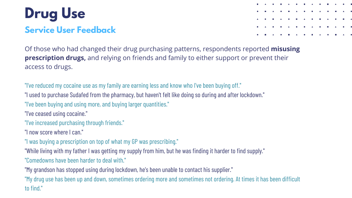### **Drug Use Service User Feedback**

Of those who had changed their drug purchasing patterns, respondents reported **misusing prescription drugs,** and relying on friends and family to either support or prevent their access to drugs.

''I've reduced my cocaine use as my family are earning less and know who I've been buying off.'' ''I used to purchase Sudafed from the pharmacy, but haven't felt like doing so during and after lockdown.'' ''I've been buying and using more, and buying larger quantities.''

''I've ceased using cocaine.''

''I've increased purchasing through friends.''

''I now score where I can.''

''I was buying a prescription on top of what my GP was prescribing.''

''While living with my father I was getting my supply from him, but he was finding it harder to find supply.'' ''Comedowns have been harder to deal with.''

''My grandson has stopped using during lockdown, he's been unable to contact his supplier.'' ''My drug use has been up and down, sometimes ordering more and sometimes not ordering. At times it has been difficult to find.''

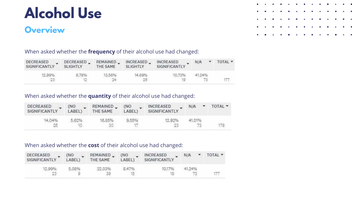## **Alcohol Use Overview**

#### When asked whether the **frequency** of their alcohol use had changed:

| DECREASED<br>SIGNIFICANTLY | DECREASED<br><b>SLIGHTLY</b> | REMAINED<br>THE SAME | INCREASED<br><b>SLIGHTLY</b> | INCREASED<br>SIGNIFICANTLY | N/A    |  |
|----------------------------|------------------------------|----------------------|------------------------------|----------------------------|--------|--|
| 12.99%                     | 6.78%                        | 13.56%               | 14.69%<br>26                 | 10.73%                     | 41.94% |  |

#### When asked whether the **quantity** of their alcohol use had changed:

| DECREASED<br>SIGNIFICANTLY | <b>TNO</b><br>LABEL) | REMAINED<br>THE SAME | (NO<br>(ABEL) | INCREASED<br>SIGNIFICANTLY | N/A    | TOT. |
|----------------------------|----------------------|----------------------|---------------|----------------------------|--------|------|
| 14.04%                     | 5.69%                | 16.85%               | 9.55%         | 19.99%                     | 41.01% |      |

#### When asked whether the **cost** of their alcohol use had changed:

| DECREASED<br>SIGNIFICANTLY | (NO.<br>LABEL) | REMAINED<br>THE SAME | (NO)<br>LABEL) | INCREASED<br>SIGNIFICANTLY | N/A    | TOTAL |
|----------------------------|----------------|----------------------|----------------|----------------------------|--------|-------|
| 12.99%                     | 5.08%          | 22.03%               | 8.47%          | 10.17%                     | 41.94% |       |

|  |  |  |  | <b>EACHAOEACHAOE</b>                 |  |  |
|--|--|--|--|--------------------------------------|--|--|
|  |  |  |  | <b>0 I A 0 II A 0 II A 0 II A 0</b>  |  |  |
|  |  |  |  | A OFA OFA OFA OFA                    |  |  |
|  |  |  |  | <b>EACHAOEACHAOE</b>                 |  |  |
|  |  |  |  | <b>• II A • II A • II A • II A •</b> |  |  |

#### OTAL -

-177

#### $AL -$

178.

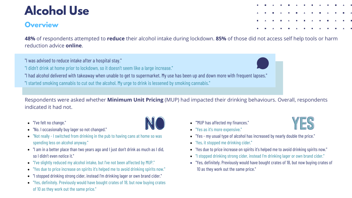**48%** of respondents attempted to **reduce** their alcohol intake during lockdown. **85%** of those did not access self help tools or harm reduction advice **online**.

''I was advised to reduce intake after a hospital stay.''

''I didn't drink at home prior to lockdown, so it doesn't seem like a large increase.''

''I had alcohol delivered with takeaway when unable to get to supermarket. My use has been up and down more with frequent lapses.''

''I started smoking cannabis to cut out the alcohol. My urge to drink is lessened by smoking cannabis.''

Respondents were asked whether **Minimum Unit Pricing** (MUP) had impacted their drinking behaviours. Overall, respondents indicated it had not.

- ''I've felt no change.''
- ''No. I occasionally buy lager so not changed.''



- ''Not really I switched from drinking in the pub to having cans at home so was spending less on alcohol anyway.''
- ''I am in a better place than two years ago and I just don't drink as much as I did, so I didn't even notice it.''
- ''I've slightly reduced my alcohol intake, but I've not been affected by MUP.''
- ''Yes due to price increase on spirits it's helped me to avoid drinking spirits now.''
- ''I stopped drinking strong cider, instead I'm drinking lager or own brand cider.''
- ''Yes, definitely. Previously would have bought crates of 18, but now buying crates of 10 as they work out the same price.''
- '''MUP has affected my finances.''
- ''Yes as it's more expensive.''
- ''Yes my usual type of alcohol has increased by nearly double the price.'' 'Yes, it stopped me drinking cider.''
- $\bullet$
- 'Yes due to price increase on spirits it's helped me to avoid drinking spirits now.'' ''I stopped drinking strong cider, instead I'm drinking lager or own brand cider.'' ''Yes, definitely. Previously would have bought crates of 18, but now buying crates of
- 
- 10 as they work out the same price.''







### **Alcohol Use**

### **Overview**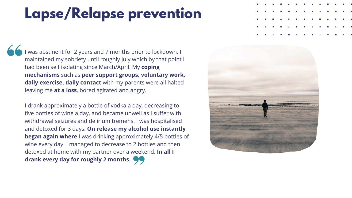I was abstinent for 2 years and 7 months prior to lockdown. I maintained my sobriety until roughly July which by that point I had been self isolating since March/April. My **coping mechanisms** such as **peer support groups, voluntary work, daily exercise, daily contact** with my parents were all halted leaving me **at a loss**, bored agitated and angry.

I drank approximately a bottle of vodka a day, decreasing to five bottles of wine a day, and became unwell as I suffer with withdrawal seizures and delirium tremens. I was hospitalised and detoxed for 3 days. **On release my alcohol use instantly began again where** I was drinking approximately 4/5 bottles of wine every day. I managed to decrease to 2 bottles and then detoxed at home with my partner over a weekend. **In all I drank every day for roughly 2 months.**

|           |  |  |  |  | <b>EACHAOEACHAOE</b>               |  |
|-----------|--|--|--|--|------------------------------------|--|
|           |  |  |  |  | <b>. I A . I A . I A . I A . I</b> |  |
|           |  |  |  |  | A OFA OFA OFA OFA                  |  |
|           |  |  |  |  | <b>EACHAOHAOHAOH</b>               |  |
| $\bullet$ |  |  |  |  | <b>EACHAOEACHAO</b>                |  |



## **Lapse/Relapse prevention**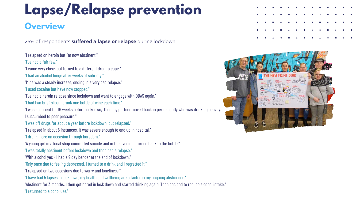25% of respondents **suffered a lapse or relapse** during lockdown.

''I relapsed on heroin but I'm now abstinent.''

''I've had a fair few.''

''I came very close, but turned to a different drug to cope.''

''I had an alcohol binge after weeks of sobriety.''

''Mine was a steady increase, ending in a very bad relapse.''

''I used cocaine but have now stopped.''

''I've had a heroin relapse since lockdown and want to engage with DDAS again.''

''I had two brief slips, I drank one bottle of wine each time.''

''I was abstinent for 16 weeks before lockdown, then my partner moved back in permanently who was drinking heavily. I succumbed to peer pressure.''

''I was off drugs for about a year before lockdown, but relapsed.''

''I relapsed in about 6 instances. It was severe enough to end up in hospital.''

''I drank more on occasion through boredom.''

''A young girl in a local shop committed suicide and in the evening I turned back to the bottle.''

''I was totally abstinent before lockdown and then had a relapse.''

''With alcohol yes - I had a 9 day bender at the end of lockdown.''

''Only once due to feeling depressed. I turned to a drink and I regretted it.''

''I relapsed on two occasions due to worry and loneliness.''

''I have had 5 lapses in lockdown, my health and wellbeing are a factor in my ongoing abstinence.''

''Abstinent for 3 months, I then got bored in lock down and started drinking again, Then decided to reduce alcohol intake.'' ''I returned to alcohol use.''





## **Lapse/Relapse prevention Overview**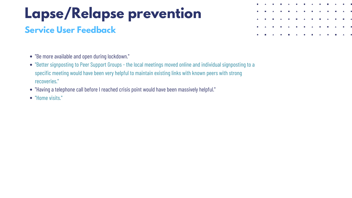## **Lapse/Relapse prevention Service User Feedback**

- ''Be more available and open during lockdown.''
- ''Better signposting to Peer Support Groups the local meetings moved online and individual signposting to a specific meeting would have been very helpful to maintain existing links with known peers with strong recoveries.''
- ''Having a telephone call before I reached crisis point would have been massively helpful.''
- ''Home visits.''

|  |  |  |  | <b>EACHAOEACHAOE</b>                         |  |  |
|--|--|--|--|----------------------------------------------|--|--|
|  |  |  |  | <b>0 I A 0 II A 0 II A 0 II A 0</b>          |  |  |
|  |  |  |  | <b>A OFA OFA OFA OF</b> A                    |  |  |
|  |  |  |  | <b>EACHAOEACHAOE</b>                         |  |  |
|  |  |  |  | <b>• II A · • II A · • II A · • II A · •</b> |  |  |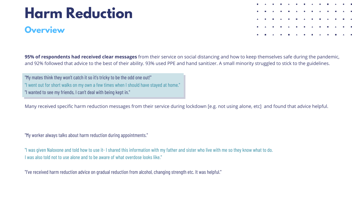**95% of respondents had received clear messages** from their service on social distancing and how to keep themselves safe during the pandemic, and 92% followed that advice to the best of their ability. 93% used PPE and hand sanitizer. A small minority struggled to stick to the guidelines.

''My mates think they won't catch it so it's tricky to be the odd one out!'' ''I went out for short walks on my own a few times when I should have stayed at home.'' ''I wanted to see my friends, I can't deal with being kept in.''

Many received specific harm reduction messages from their service during lockdown [e.g. not using alone, etc] and found that advice helpful.

''My worker always talks about harm reduction during appointments.''

''I was given Naloxone and told how to use it- I shared this information with my father and sister who live with me so they know what to do. I was also told not to use alone and to be aware of what overdose looks like.''

''I've received harm reduction advice on gradual reduction from alcohol, changing strength etc. It was helpful.''

![](_page_28_Picture_7.jpeg)

![](_page_28_Picture_8.jpeg)

## **Harm Reduction Overview**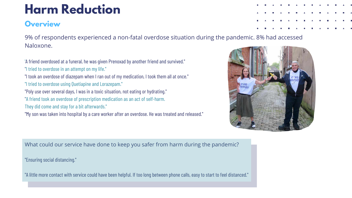9% of respondents experienced a non-fatal overdose situation during the pandemic. 8% had accessed Naloxone.

'A friend overdosed at a funeral, he was given Prenoxad by another friend and survived.''

- ''I tried to overdose in an attempt on my life.''
- ''I took an overdose of diazepam when I ran out of my medication, I took them all at once.''
- ''I tried to overdose using Quetiapine and Lorazepam.''
- ''Poly use over several days, I was in a toxic situation, not eating or hydrating.''
- ''A friend took an overdose of prescription medication as an act of self-harm.
- They did come and stay for a bit afterwards.''
- ''My son was taken into hospital by a care worker after an overdose. He was treated and released.''

What could our service have done to keep you safer from harm during the pandemic?

''Ensuring social distancing.''

''A little more contact with service could have been helpful. If too long between phone calls, easy to start to feel distanced.''

![](_page_29_Picture_14.jpeg)

![](_page_29_Picture_16.jpeg)

## **Harm Reduction**

### **Overview**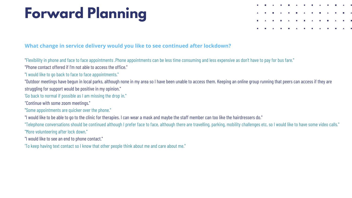## **Forward Planning**

#### **What change in service delivery would you like to see continued after lockdown?**

''Flexibility in phone and face to face appointments .Phone appointments can be less time consuming and less expensive as don't have to pay for bus fare.'' ''Phone contact offered if I'm not able to access the office.''

''I would like to go back to face to face appointments.''

''Outdoor meetings have begun in local parks, although none in my area so I have been unable to access them. Keeping an online group running that peers can access if they are struggling for support would be positive in my opinion.''

'Go back to normal if possible as I am missing the drop in.''

''Continue with some zoom meetings.''

''Some appointments are quicker over the phone.''

''I would like to be able to go to the clinic for therapies. I can wear a mask and maybe the staff member can too like the hairdressers do.'' ''Telephone conversations should be continued although I prefer face to face, although there are travelling, parking, mobility challenges etc, so I would like to have some video calls.''

''More volunteering after lock down.''

''I would like to see an end to phone contact.''

'To keep having text contact so I know that other people think about me and care about me.''

![](_page_30_Figure_12.jpeg)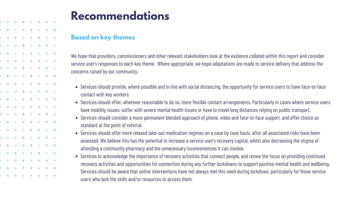![](_page_31_Figure_0.jpeg)

### **Recommendations**

- Services should provide, where possible and in line with social distancing, the opportunity for service users to have face-to-face contact with key workers.
- Services should offer, wherever reasonable to do so, more flexible contact arrangements. Particularly in cases where service users have mobility issues, suffer with severe mental health issues or have to travel long distances relying on public transport.
- Services should consider a more permanent blended approach of phone, video and face-to-face support, and offer choice as standard at the point of referral.
- Services should offer more relaxed take-out medication regimes on a case by case basis, after all associated risks have been assessed. We believe this has the potential to increase a service user's recovery capital, whilst also decreasing the stigma of attending a community pharmacy and the unnecessary inconveniences it can involve.
- Services to acknowledge the importance of recovery activities that connect people, and renew the focus on providing continued recovery activities and opportunities for connection during any further lockdowns to support positive mental health and wellbeing. Services should be aware that online interventions have not always met this need during lockdown, particularly for those service users who lack the skills and/or resources to access them.

We hope that providers, commissioners and other relevant stakeholders look at the evidence collated within this report and consider service user's responses to each key theme. Where appropriate, we hope adaptations are made to service delivery that address the concerns raised by our community.

### **Based on key themes**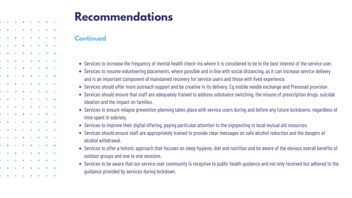![](_page_32_Figure_0.jpeg)

### **Recommendations**

- Services to increase the frequency of mental health check-ins where it is considered to be in the best interest of the service user.
- Services to resume volunteering placements, where possible and in line with social distancing, as it can increase service delivery and is an important component of maintained recovery for service users and those with lived experience.
- Services should offer more outreach support and be creative in its delivery. Eg mobile needle exchange and Prenoxad provision
- Services should ensure that staff are adequately trained to address substance switching, the misuse of prescription drugs, suicidal ideation and the impact on families.
- Services to ensure relapse prevention planning takes place with service users during and before any future lockdowns, regardless of time spent in sobriety.
- Services to improve their digital offering, paying particular attention to the signposting to local mutual aid resources.
- Services should ensure staff are appropriately trained to provide clear messages on safe alcohol reduction and the dangers of alcohol withdrawal.
- Services to offer a holistic approach that focuses on sleep hygiene, diet and nutrition and be aware of the obvious overall benefits of outdoor groups and one to one sessions.
- Services to be aware that our service user community is receptive to public health guidance and not only received but adhered to the guidance provided by services during lockdown.

### **Continued**